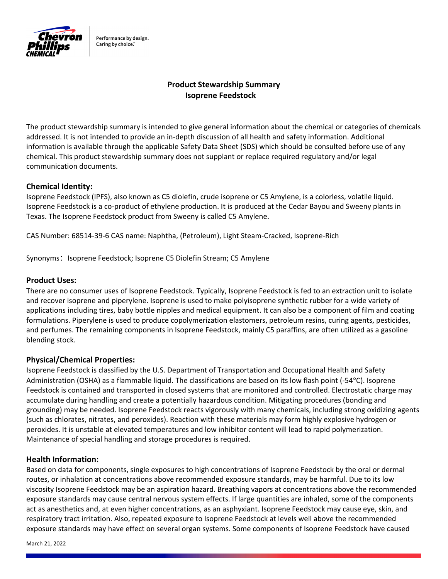

Performance by design. Caring by choice."

# **Product Stewardship Summary Isoprene Feedstock**

The product stewardship summary is intended to give general information about the chemical or categories of chemicals addressed. It is not intended to provide an in‐depth discussion of all health and safety information. Additional information is available through the applicable Safety Data Sheet (SDS) which should be consulted before use of any chemical. This product stewardship summary does not supplant or replace required regulatory and/or legal communication documents.

# **Chemical Identity:**

Isoprene Feedstock (IPFS), also known as C5 diolefin, crude isoprene or C5 Amylene, is a colorless, volatile liquid. Isoprene Feedstock is a co‐product of ethylene production. It is produced at the Cedar Bayou and Sweeny plants in Texas. The Isoprene Feedstock product from Sweeny is called C5 Amylene.

CAS Number: 68514‐39‐6 CAS name: Naphtha, (Petroleum), Light Steam‐Cracked, Isoprene‐Rich

Synonyms: Isoprene Feedstock; Isoprene C5 Diolefin Stream; C5 Amylene

#### **Product Uses:**

There are no consumer uses of Isoprene Feedstock. Typically, Isoprene Feedstock is fed to an extraction unit to isolate and recover isoprene and piperylene. Isoprene is used to make polyisoprene synthetic rubber for a wide variety of applications including tires, baby bottle nipples and medical equipment. It can also be a component of film and coating formulations. Piperylene is used to produce copolymerization elastomers, petroleum resins, curing agents, pesticides, and perfumes. The remaining components in Isoprene Feedstock, mainly C5 paraffins, are often utilized as a gasoline blending stock.

#### **Physical/Chemical Properties:**

Isoprene Feedstock is classified by the U.S. Department of Transportation and Occupational Health and Safety Administration (OSHA) as a flammable liquid. The classifications are based on its low flash point (-54 $\textdegree$ C). Isoprene Feedstock is contained and transported in closed systems that are monitored and controlled. Electrostatic charge may accumulate during handling and create a potentially hazardous condition. Mitigating procedures (bonding and grounding) may be needed. Isoprene Feedstock reacts vigorously with many chemicals, including strong oxidizing agents (such as chlorates, nitrates, and peroxides). Reaction with these materials may form highly explosive hydrogen or peroxides. It is unstable at elevated temperatures and low inhibitor content will lead to rapid polymerization. Maintenance of special handling and storage procedures is required.

#### **Health Information:**

Based on data for components, single exposures to high concentrations of Isoprene Feedstock by the oral or dermal routes, or inhalation at concentrations above recommended exposure standards, may be harmful. Due to its low viscosity Isoprene Feedstock may be an aspiration hazard. Breathing vapors at concentrations above the recommended exposure standards may cause central nervous system effects. If large quantities are inhaled, some of the components act as anesthetics and, at even higher concentrations, as an asphyxiant. Isoprene Feedstock may cause eye, skin, and respiratory tract irritation. Also, repeated exposure to Isoprene Feedstock at levels well above the recommended exposure standards may have effect on several organ systems. Some components of Isoprene Feedstock have caused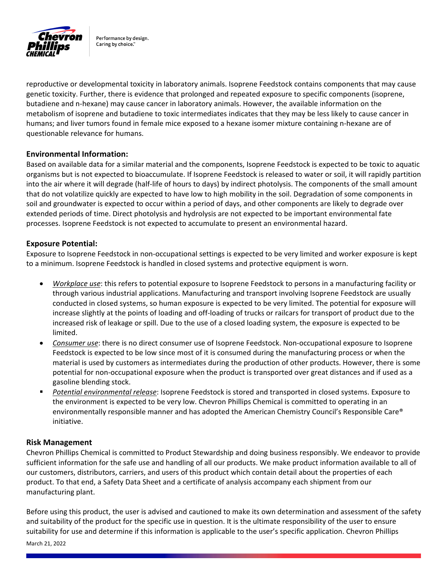

Performance by design. Caring by choice."

reproductive or developmental toxicity in laboratory animals. Isoprene Feedstock contains components that may cause genetic toxicity. Further, there is evidence that prolonged and repeated exposure to specific components (isoprene, butadiene and n‐hexane) may cause cancer in laboratory animals. However, the available information on the metabolism of isoprene and butadiene to toxic intermediates indicates that they may be less likely to cause cancer in humans; and liver tumors found in female mice exposed to a hexane isomer mixture containing n-hexane are of questionable relevance for humans.

# **Environmental Information:**

Based on available data for a similar material and the components, Isoprene Feedstock is expected to be toxic to aquatic organisms but is not expected to bioaccumulate. If Isoprene Feedstock is released to water or soil, it will rapidly partition into the air where it will degrade (half‐life of hours to days) by indirect photolysis. The components of the small amount that do not volatilize quickly are expected to have low to high mobility in the soil. Degradation of some components in soil and groundwater is expected to occur within a period of days, and other components are likely to degrade over extended periods of time. Direct photolysis and hydrolysis are not expected to be important environmental fate processes. Isoprene Feedstock is not expected to accumulate to present an environmental hazard.

# **Exposure Potential:**

Exposure to Isoprene Feedstock in non‐occupational settings is expected to be very limited and worker exposure is kept to a minimum. Isoprene Feedstock is handled in closed systems and protective equipment is worn.

- *Workplace use*: this refers to potential exposure to Isoprene Feedstock to persons in a manufacturing facility or through various industrial applications. Manufacturing and transport involving Isoprene Feedstock are usually conducted in closed systems, so human exposure is expected to be very limited. The potential for exposure will increase slightly at the points of loading and off‐loading of trucks or railcars for transport of product due to the increased risk of leakage or spill. Due to the use of a closed loading system, the exposure is expected to be limited.
- *Consumer use*: there is no direct consumer use of Isoprene Feedstock. Non‐occupational exposure to Isoprene Feedstock is expected to be low since most of it is consumed during the manufacturing process or when the material is used by customers as intermediates during the production of other products. However, there is some potential for non‐occupational exposure when the product is transported over great distances and if used as a gasoline blending stock.
- *Potential environmental release*: Isoprene Feedstock is stored and transported in closed systems. Exposure to the environment is expected to be very low. Chevron Phillips Chemical is committed to operating in an environmentally responsible manner and has adopted the American Chemistry Council's Responsible Care® initiative.

# **Risk Management**

Chevron Phillips Chemical is committed to Product Stewardship and doing business responsibly. We endeavor to provide sufficient information for the safe use and handling of all our products. We make product information available to all of our customers, distributors, carriers, and users of this product which contain detail about the properties of each product. To that end, a Safety Data Sheet and a certificate of analysis accompany each shipment from our manufacturing plant.

March 21, 2022 Before using this product, the user is advised and cautioned to make its own determination and assessment of the safety and suitability of the product for the specific use in question. It is the ultimate responsibility of the user to ensure suitability for use and determine if this information is applicable to the user's specific application. Chevron Phillips